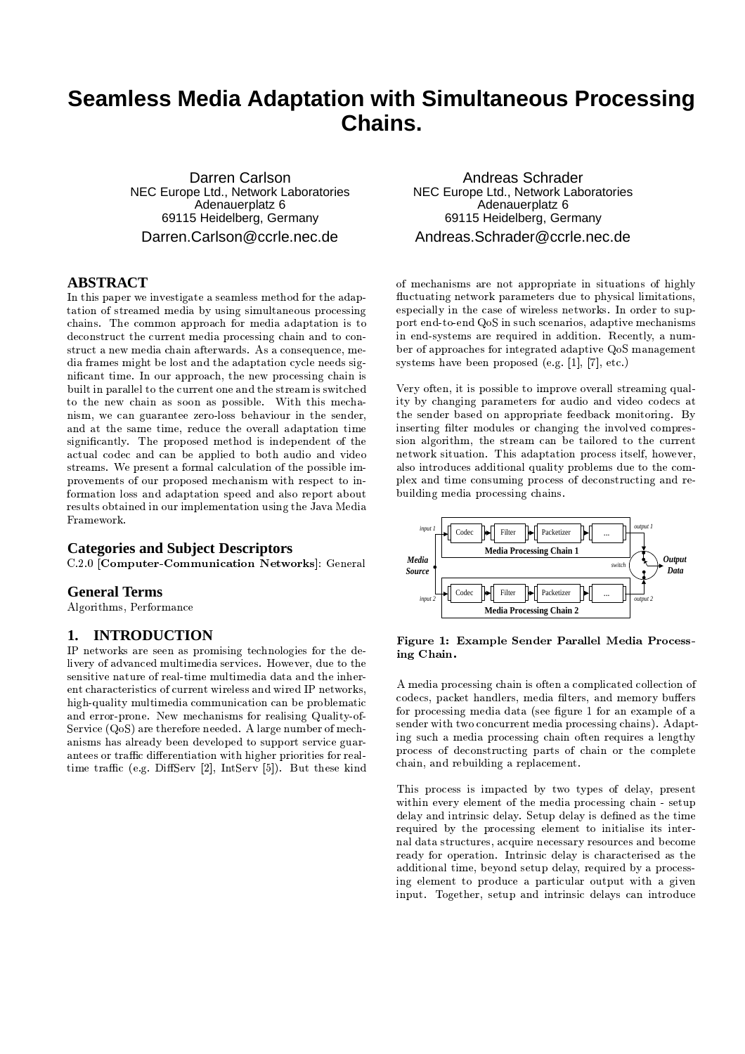# **Seamless Media Adaptation with Simultaneous Processing** Chains.

Darren Carlson NEC Europe Ltd., Network Laboratories Adenauerplatz 6 69115 Heidelberg, Germany Darren.Carlson@ccrle.nec.de

# **ABSTRACT**

In this paper we investigate a seamless method for the adaptation of streamed media by using simultaneous processing chains. The common approach for media adaptation is to deconstruct the current media processing chain and to construct a new media chain afterwards. As a consequence, media frames might be lost and the adaptation cycle needs significant time. In our approach, the new processing chain is built in parallel to the current one and the stream is switched to the new chain as soon as possible. With this mechanism, we can guarantee zero-loss behaviour in the sender. and at the same time, reduce the overall adaptation time significantly. The proposed method is independent of the actual codec and can be applied to both audio and video streams. We present a formal calculation of the possible improvements of our proposed mechanism with respect to information loss and adaptation speed and also report about results obtained in our implementation using the Java Media Framework.

## **Categories and Subject Descriptors**

C.2.0 [Computer-Communication Networks]: General

### **General Terms**

Algorithms, Performance

#### **INTRODUCTION**  $\mathbf{1}$ .

IP networks are seen as promising technologies for the delivery of advanced multimedia services. However, due to the sensitive nature of real-time multimedia data and the inherent characteristics of current wireless and wired IP networks, high-quality multimedia communication can be problematic and error-prone. New mechanisms for realising Quality-of-Service (QoS) are therefore needed. A large number of mechanisms has already been developed to support service guarantees or traffic differentiation with higher priorities for realtime traffic (e.g. DiffServ [2],  $IntServ$  [5]). But these kind

**Andreas Schrader** NEC Europe Ltd., Network Laboratories Adenauerplatz 6 69115 Heidelberg, Germany Andreas.Schrader@ccrle.nec.de

of mechanisms are not appropriate in situations of highly fluctuating network parameters due to physical limitations, especially in the case of wireless networks. In order to support end-to-end QoS in such scenarios, adaptive mechanisms in end-systems are required in addition. Recently, a number of approaches for integrated adaptive QoS management systems have been proposed (e.g. [1], [7], etc.)

Very often, it is possible to improve overall streaming quality by changing parameters for audio and video codecs at the sender based on appropriate feedback monitoring. By inserting filter modules or changing the involved compression algorithm, the stream can be tailored to the current network situation. This adaptation process itself, however, also introduces additional quality problems due to the complex and time consuming process of deconstructing and rebuilding media processing chains.



Figure 1: Example Sender Parallel Media Processing Chain.

A media processing chain is often a complicated collection of codecs, packet handlers, media filters, and memory buffers for processing media data (see figure 1 for an example of a sender with two concurrent media processing chains). Adapting such a media processing chain often requires a lengthy process of deconstructing parts of chain or the complete chain, and rebuilding a replacement.

This process is impacted by two types of delay, present within every element of the media processing chain - setup delay and intrinsic delay. Setup delay is defined as the time required by the processing element to initialise its internal data structures, acquire necessary resources and become ready for operation. Intrinsic delay is characterised as the additional time, beyond setup delay, required by a processing element to produce a particular output with a given input. Together, setup and intrinsic delays can introduce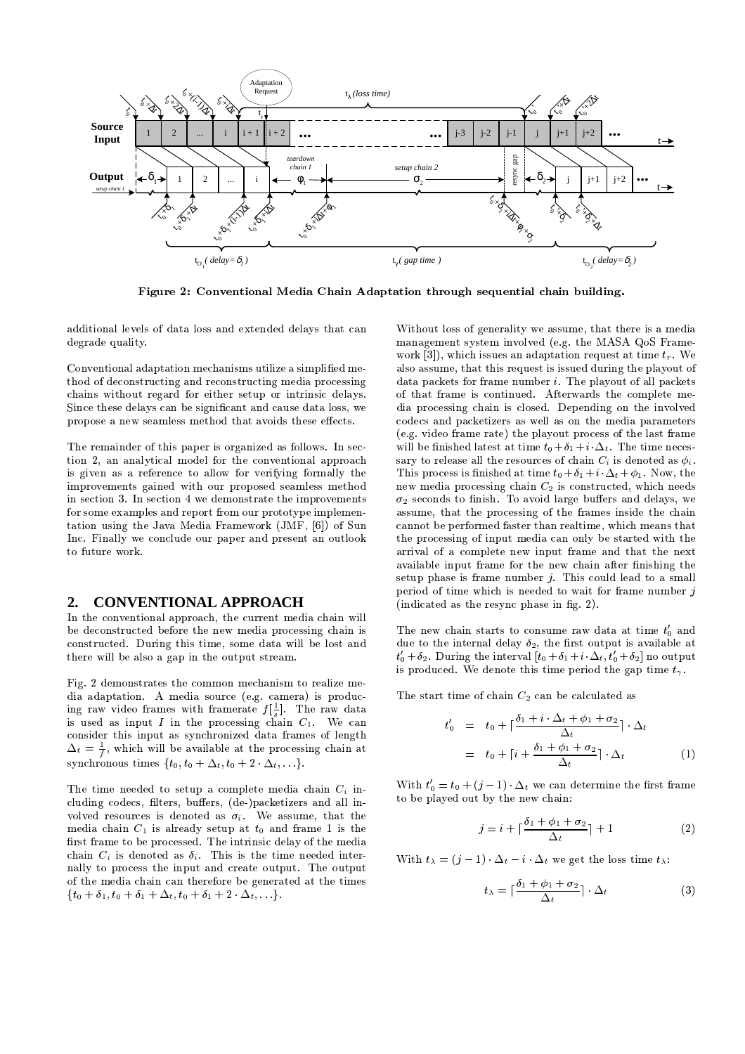

Figure 2: Conventional Media Chain Adaptation through sequential chain building.

additional levels of data loss and extended delays that can degrade quality.

Conventional adaptation mechanisms utilize a simplified method of deconstructing and reconstructing media processing chains without regard for either setup or intrinsic delays. Since these delays can be significant and cause data loss, we propose a new seamless method that avoids these effects.

The remainder of this paper is organized as follows. In section 2, an analytical model for the conventional approach is given as a reference to allow for verifying formally the improvements gained with our proposed seamless method in section 3. In section 4 we demonstrate the improvements for some examples and report from our prototype implementation using the Java Media Framework (JMF, [6]) of Sun Inc. Finally we conclude our paper and present an outlook to future work.

#### **CONVENTIONAL APPROACH**  $\overline{2}$ .

In the conventional approach, the current media chain will be deconstructed before the new media processing chain is constructed. During this time, some data will be lost and there will be also a gap in the output stream.

Fig. 2 demonstrates the common mechanism to realize media adaptation. A media source (e.g. camera) is producing raw video frames with framerate  $f\left[\frac{1}{s}\right]$ . The raw data is used as input I in the processing chain  $C_1$ . We can consider this input as synchronized data frames of length  $\Delta_t = \frac{1}{f}$ , which will be available at the processing chain at synchronous times  $\{t_0, t_0 + \Delta_t, t_0 + 2 \cdot \Delta_t, \ldots\}.$ 

The time needed to setup a complete media chain  $C_i$  including codecs, filters, buffers, (de-)packetizers and all involved resources is denoted as  $\sigma_i$ . We assume, that the media chain  $C_1$  is already setup at  $t_0$  and frame 1 is the first frame to be processed. The intrinsic delay of the media chain  $C_i$  is denoted as  $\delta_i$ . This is the time needed internally to process the input and create output. The output of the media chain can therefore be generated at the times  $\{t_0 + \delta_1, t_0 + \delta_1 + \Delta_t, t_0 + \delta_1 + 2 \cdot \Delta_t, \ldots\}.$ 

Without loss of generality we assume, that there is a media management system involved (e.g. the MASA QoS Framework [3]), which issues an adaptation request at time  $t_r$ . We also assume, that this request is issued during the playout of data packets for frame number  $i$ . The playout of all packets of that frame is continued. Afterwards the complete media processing chain is closed. Depending on the involved codecs and packetizers as well as on the media parameters (e.g. video frame rate) the playout process of the last frame will be finished latest at time  $t_0 + \delta_1 + i \Delta_t$ . The time necessary to release all the resources of chain  $C_i$  is denoted as  $\phi_i$ . This process is finished at time  $t_0 + \delta_1 + i \Delta_t + \phi_1$ . Now, the new media processing chain  $C_2$  is constructed, which needs  $\sigma_2$  seconds to finish. To avoid large buffers and delays, we assume, that the processing of the frames inside the chain cannot be performed faster than realtime, which means that the processing of input media can only be started with the arrival of a complete new input frame and that the next available input frame for the new chain after finishing the setup phase is frame number  $j$ . This could lead to a small period of time which is needed to wait for frame number  $j$ (indicated as the resync phase in fig. 2).

The new chain starts to consume raw data at time  $t'_0$  and due to the internal delay  $\delta_2$ , the first output is available at  $t'_0 + \delta_2$ . During the interval  $[t_0 + \delta_1 + i \Delta_t, t'_0 + \delta_2]$  no output is produced. We denote this time period the gap time  $t_{\gamma}$ .

The start time of chain  $C_2$  can be calculated as

$$
t'_{0} = t_{0} + \lceil \frac{\delta_{1} + i \cdot \Delta_{t} + \phi_{1} + \sigma_{2}}{\Delta_{t}} \rceil \cdot \Delta_{t}
$$
  
=  $t_{0} + \lceil i + \frac{\delta_{1} + \phi_{1} + \sigma_{2}}{\Delta_{t}} \rceil \cdot \Delta_{t}$  (1)

With  $t'_0 = t_0 + (j - 1) \cdot \Delta_t$  we can determine the first frame to be played out by the new chain:

$$
j = i + \lceil \frac{\delta_1 + \phi_1 + \sigma_2}{\Delta_t} \rceil + 1 \tag{2}
$$

With  $t_{\lambda} = (i-1) \cdot \Delta_t - i \cdot \Delta_t$  we get the loss time  $t_{\lambda}$ :

$$
t_{\lambda} = \lceil \frac{\delta_1 + \phi_1 + \sigma_2}{\Delta_t} \rceil \cdot \Delta_t \tag{3}
$$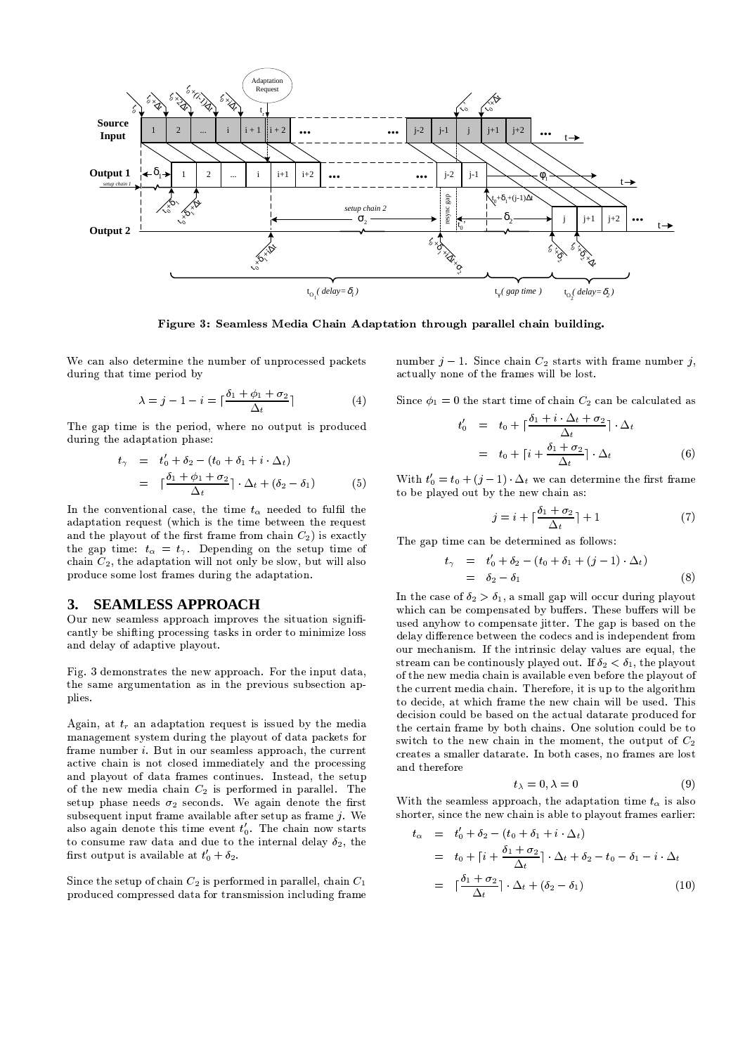

Figure 3: Seamless Media Chain Adaptation through parallel chain building.

We can also determine the number of unprocessed packets during that time period by

$$
\lambda = j - 1 - i = \lceil \frac{\delta_1 + \phi_1 + \sigma_2}{\Delta_t} \rceil \tag{4}
$$

The gap time is the period, where no output is produced during the adaptation phase:

$$
t_{\gamma} = t'_{0} + \delta_{2} - (t_{0} + \delta_{1} + i \cdot \Delta_{t})
$$
  
= 
$$
\lceil \frac{\delta_{1} + \phi_{1} + \sigma_{2}}{\Delta_{t}} \rceil \cdot \Delta_{t} + (\delta_{2} - \delta_{1})
$$
(5)

In the conventional case, the time  $t_{\alpha}$  needed to fulfil the adaptation request (which is the time between the request and the playout of the first frame from chain  $C_2$ ) is exactly the gap time:  $t_{\alpha} = t_{\gamma}$ . Depending on the setup time of chain  $C_2$ , the adaptation will not only be slow, but will also produce some lost frames during the adaptation.

#### **3. SEAMLESS APPROACH**

Our new seamless approach improves the situation significantly be shifting processing tasks in order to minimize loss and delay of adaptive playout.

Fig. 3 demonstrates the new approach. For the input data, the same argumentation as in the previous subsection applies.

Again, at  $t_r$  an adaptation request is issued by the media management system during the playout of data packets for frame number  $i$ . But in our seamless approach, the current active chain is not closed immediately and the processing and playout of data frames continues. Instead, the setup of the new media chain  $C_2$  is performed in parallel. The setup phase needs  $\sigma_2$  seconds. We again denote the first subsequent input frame available after setup as frame  $j$ . We also again denote this time event  $t'_0$ . The chain now starts to consume raw data and due to the internal delay  $\delta_2$ , the first output is available at  $t'_0 + \delta_2$ .

Since the setup of chain  $C_2$  is performed in parallel, chain  $C_1$ produced compressed data for transmission including frame number  $j-1$ . Since chain  $C_2$  starts with frame number j. actually none of the frames will be lost.

Since  $\phi_1 = 0$  the start time of chain  $C_2$  can be calculated as

$$
t'_{0} = t_{0} + \lceil \frac{\delta_{1} + i \cdot \Delta_{t} + \sigma_{2}}{\Delta_{t}} \rceil \cdot \Delta_{t}
$$

$$
= t_{0} + \lceil i + \frac{\delta_{1} + \sigma_{2}}{\Delta_{t}} \rceil \cdot \Delta_{t}
$$
(6)

With  $t'_0 = t_0 + (j - 1) \cdot \Delta_t$  we can determine the first frame to be played out by the new chain as:

$$
j = i + \lceil \frac{\delta_1 + \sigma_2}{\Delta_t} \rceil + 1 \tag{7}
$$

The gap time can be determined as follows:

$$
t_{\gamma} = t'_{0} + \delta_{2} - (t_{0} + \delta_{1} + (j - 1) \cdot \Delta_{t})
$$
  
=  $\delta_{2} - \delta_{1}$  (8)

In the case of  $\delta_2 > \delta_1$ , a small gap will occur during playout which can be compensated by buffers. These buffers will be used anyhow to compensate jitter. The gap is based on the delay difference between the codecs and is independent from our mechanism. If the intrinsic delay values are equal, the stream can be continually played out. If  $\delta_2 < \delta_1$ , the playout of the new media chain is available even before the playout of the current media chain. Therefore, it is up to the algorithm to decide, at which frame the new chain will be used. This decision could be based on the actual datarate produced for the certain frame by both chains. One solution could be to switch to the new chain in the moment, the output of  $C_2$ creates a smaller datarate. In both cases, no frames are lost and therefore

$$
t_{\lambda} = 0, \lambda = 0 \tag{9}
$$

With the seamless approach, the adaptation time  $t_{\alpha}$  is also shorter, since the new chain is able to playout frames earlier:

 $\mathbf{r}$ 

$$
t_{\alpha} = t'_{0} + \delta_{2} - (t_{0} + \delta_{1} + i \cdot \Delta_{t})
$$
  
\n
$$
= t_{0} + \lceil i + \frac{\delta_{1} + \sigma_{2}}{\Delta_{t}} \rceil \cdot \Delta_{t} + \delta_{2} - t_{0} - \delta_{1} - i \cdot \Delta_{t}
$$
  
\n
$$
= \lceil \frac{\delta_{1} + \sigma_{2}}{\Delta_{t}} \rceil \cdot \Delta_{t} + (\delta_{2} - \delta_{1}) \tag{10}
$$